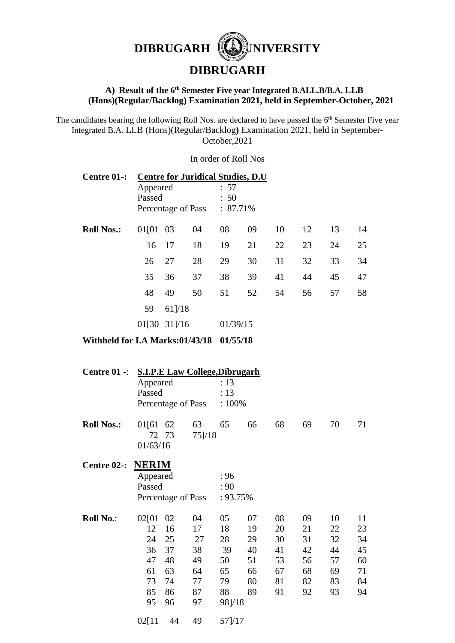

## **A) Result of the 6 th Semester Five year Integrated B.ALL.B/B.A. LLB (Hons)(Regular/Backlog) Examination 2021, held in September-October, 2021**

The candidates bearing the following Roll Nos. are declared to have passed the 6<sup>th</sup> Semester Five year Integrated B.A. LLB (Hons)(Regular/Backlog**)** Examination 2021, held in September-October,2021

### In order of Roll Nos

| Centre 01-:       | <b>Centre for Juridical Studies, D.U.</b> |              |                    |              |             |    |    |    |    |  |  |
|-------------------|-------------------------------------------|--------------|--------------------|--------------|-------------|----|----|----|----|--|--|
|                   | Appeared<br>Passed                        |              |                    | : 57<br>: 50 |             |    |    |    |    |  |  |
|                   |                                           |              |                    |              |             |    |    |    |    |  |  |
|                   |                                           |              | Percentage of Pass |              | $: 87.71\%$ |    |    |    |    |  |  |
| <b>Roll Nos.:</b> | 01[01 03                                  |              | 04                 | 08           | 09          | 10 | 12 | 13 | 14 |  |  |
|                   | 16                                        | 17           | 18                 | 19           | 21          | 22 | 23 | 24 | 25 |  |  |
|                   | 26                                        | 27           | 28                 | 29           | 30          | 31 | 32 | 33 | 34 |  |  |
|                   | 35                                        | 36           | 37                 | 38           | 39          | 41 | 44 | 45 | 47 |  |  |
|                   | 48                                        | 49           | 50                 | 51           | 52          | 54 | 56 | 57 | 58 |  |  |
|                   | 59                                        | $61$ ]/18    |                    |              |             |    |    |    |    |  |  |
|                   |                                           | 01[30 31]/16 |                    |              | 01/39/15    |    |    |    |    |  |  |

# **Withheld for I.A Marks:01/43/18 01/55/18**

| Centre $01 -$      | <b>S.I.P.E Law College, Dibrugarh</b> |          |                    |          |    |    |    |    |    |
|--------------------|---------------------------------------|----------|--------------------|----------|----|----|----|----|----|
|                    | Appeared                              |          |                    | : 13     |    |    |    |    |    |
|                    | Passed                                |          |                    | : 13     |    |    |    |    |    |
|                    | Percentage of Pass                    |          |                    | :100%    |    |    |    |    |    |
| <b>Roll Nos.:</b>  | 01[61]<br>72<br>01/63/16              | 62<br>73 | 63<br>$75$ ]/18    | 65       | 66 | 68 | 69 | 70 | 71 |
| <b>Centre 02-:</b> | <b>NERIM</b>                          |          |                    |          |    |    |    |    |    |
|                    | Appeared                              |          |                    | :96      |    |    |    |    |    |
|                    | Passed                                |          |                    | : 90     |    |    |    |    |    |
|                    |                                       |          | Percentage of Pass | : 93.75% |    |    |    |    |    |
| <b>Roll No.:</b>   | 02[01                                 | 02       | 04                 | 05       | 07 | 08 | 09 | 10 | 11 |
|                    | 12                                    | 16       | 17                 | 18       | 19 | 20 | 21 | 22 | 23 |
|                    | 24                                    | 25       | 27                 | 28       | 29 | 30 | 31 | 32 | 34 |
|                    | 36                                    | 37       | 38                 | 39       | 40 | 41 | 42 | 44 | 45 |
|                    | 47                                    | 48       | 49                 | 50       | 51 | 53 | 56 | 57 | 60 |
|                    | 61                                    | 63       | 64                 | 65       | 66 | 67 | 68 | 69 | 71 |
|                    | 73                                    | 74       | 77                 | 79       | 80 | 81 | 82 | 83 | 84 |
|                    | 85                                    | 86       | 87                 | 88       | 89 | 91 | 92 | 93 | 94 |
|                    | 95                                    | 96       | 97                 | 98]/18   |    |    |    |    |    |
|                    | 02[11]                                | 44       | 49                 | 57]/17   |    |    |    |    |    |